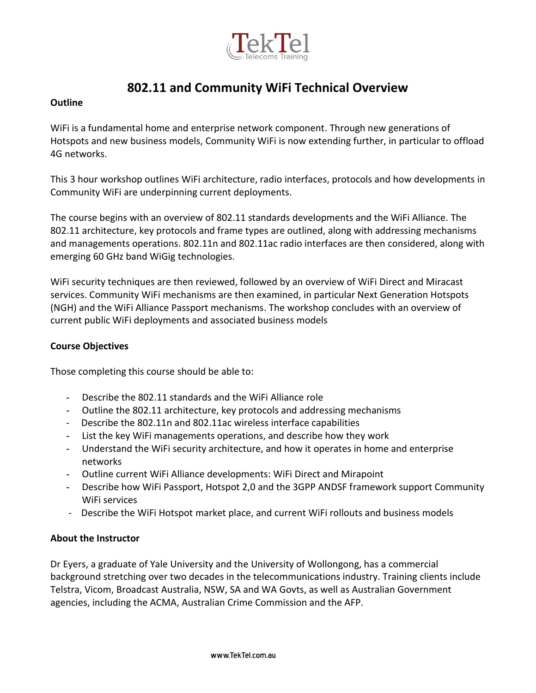

# **802.11 and Community WiFi Technical Overview**

## **Outline**

WiFi is a fundamental home and enterprise network component. Through new generations of Hotspots and new business models, Community WiFi is now extending further, in particular to offload 4G networks.

This 3 hour workshop outlines WiFi architecture, radio interfaces, protocols and how developments in Community WiFi are underpinning current deployments.

The course begins with an overview of 802.11 standards developments and the WiFi Alliance. The 802.11 architecture, key protocols and frame types are outlined, along with addressing mechanisms and managements operations. 802.11n and 802.11ac radio interfaces are then considered, along with emerging 60 GHz band WiGig technologies.

WiFi security techniques are then reviewed, followed by an overview of WiFi Direct and Miracast services. Community WiFi mechanisms are then examined, in particular Next Generation Hotspots (NGH) and the WiFi Alliance Passport mechanisms. The workshop concludes with an overview of current public WiFi deployments and associated business models

## **Course Objectives**

Those completing this course should be able to:

- Describe the 802.11 standards and the WiFi Alliance role
- Outline the 802.11 architecture, key protocols and addressing mechanisms
- Describe the 802.11n and 802.11ac wireless interface capabilities
- List the key WiFi managements operations, and describe how they work
- Understand the WiFi security architecture, and how it operates in home and enterprise networks
- Outline current WiFi Alliance developments: WiFi Direct and Mirapoint
- Describe how WiFi Passport, Hotspot 2,0 and the 3GPP ANDSF framework support Community WiFi services
- Describe the WiFi Hotspot market place, and current WiFi rollouts and business models

## **About the Instructor**

Dr Eyers, a graduate of Yale University and the University of Wollongong, has a commercial background stretching over two decades in the telecommunications industry. Training clients include Telstra, Vicom, Broadcast Australia, NSW, SA and WA Govts, as well as Australian Government agencies, including the ACMA, Australian Crime Commission and the AFP.